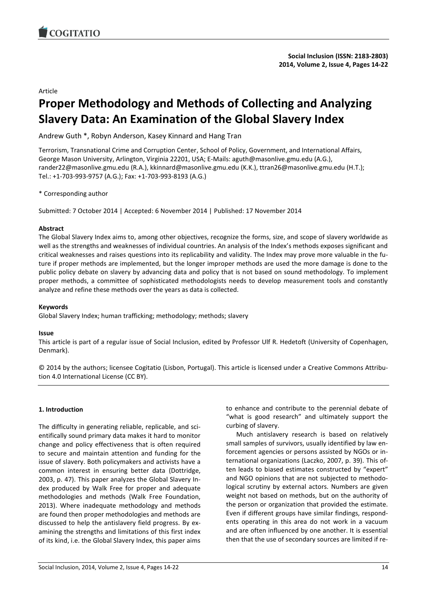

#### Article

# **Proper Methodology and Methods of Collecting and Analyzing Slavery Data: An Examination of the Global Slavery Index**

Andrew Guth \*, Robyn Anderson, Kasey Kinnard and Hang Tran

Terrorism, Transnational Crime and Corruption Center, School of Policy, Government, and International Affairs, George Mason University, Arlington, Virginia 22201, USA; E-Mails: aguth@masonlive.gmu.edu (A.G.), rander22@masonlive.gmu.edu (R.A.), kkinnard@masonlive.gmu.edu (K.K.), ttran26@masonlive.gmu.edu (H.T.); Tel.: +1-703-993-9757 (A.G.); Fax: +1-703-993-8193 (A.G.)

\* Corresponding author

Submitted: 7 October 2014 | Accepted: 6 November 2014 | Published: 17 November 2014

#### **Abstract**

The Global Slavery Index aims to, among other objectives, recognize the forms, size, and scope of slavery worldwide as well as the strengths and weaknesses of individual countries. An analysis of the Index's methods exposes significant and critical weaknesses and raises questions into its replicability and validity. The Index may prove more valuable in the future if proper methods are implemented, but the longer improper methods are used the more damage is done to the public policy debate on slavery by advancing data and policy that is not based on sound methodology. To implement proper methods, a committee of sophisticated methodologists needs to develop measurement tools and constantly analyze and refine these methods over the years as data is collected.

# **Keywords**

Global Slavery Index; human trafficking; methodology; methods; slavery

# **Issue**

This article is part of a regular issue of Social Inclusion, edited by Professor Ulf R. Hedetoft (University of Copenhagen, Denmark).

© 2014 by the authors; licensee Cogitatio (Lisbon, Portugal). This article is licensed under a Creative Commons Attribution 4.0 International License (CC BY).

# **1. Introduction**

The difficulty in generating reliable, replicable, and scientifically sound primary data makes it hard to monitor change and policy effectiveness that is often required to secure and maintain attention and funding for the issue of slavery. Both policymakers and activists have a common interest in ensuring better data (Dottridge, 2003, p. 47). This paper analyzes the Global Slavery Index produced by Walk Free for proper and adequate methodologies and methods (Walk Free Foundation, 2013). Where inadequate methodology and methods are found then proper methodologies and methods are discussed to help the antislavery field progress. By examining the strengths and limitations of this first index of its kind, i.e. the Global Slavery Index, this paper aims

to enhance and contribute to the perennial debate of "what is good research" and ultimately support the curbing of slavery.

Much antislavery research is based on relatively small samples of survivors, usually identified by law enforcement agencies or persons assisted by NGOs or international organizations (Laczko, 2007, p. 39). This often leads to biased estimates constructed by "expert" and NGO opinions that are not subjected to methodological scrutiny by external actors. Numbers are given weight not based on methods, but on the authority of the person or organization that provided the estimate. Even if different groups have similar findings, respondents operating in this area do not work in a vacuum and are often influenced by one another. It is essential then that the use of secondary sources are limited if re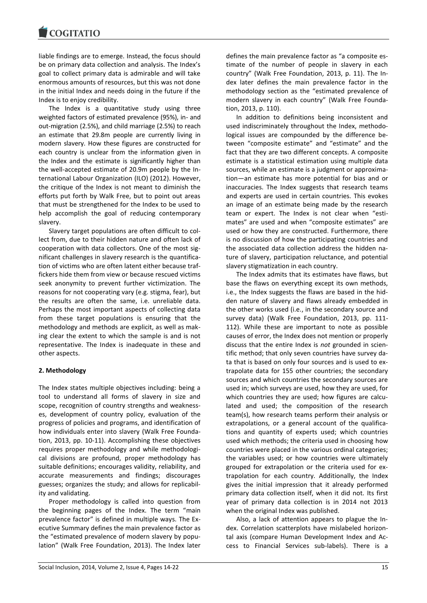liable findings are to emerge. Instead, the focus should be on primary data collection and analysis. The Index's goal to collect primary data is admirable and will take enormous amounts of resources, but this was not done in the initial Index and needs doing in the future if the Index is to enjoy credibility.

The Index is a quantitative study using three weighted factors of estimated prevalence (95%), in- and out-migration (2.5%), and child marriage (2.5%) to reach an estimate that 29.8m people are currently living in modern slavery. How these figures are constructed for each country is unclear from the information given in the Index and the estimate is significantly higher than the well-accepted estimate of 20.9m people by the International Labour Organization (ILO) (2012). However, the critique of the Index is not meant to diminish the efforts put forth by Walk Free, but to point out areas that must be strengthened for the Index to be used to help accomplish the goal of reducing contemporary slavery.

Slavery target populations are often difficult to collect from, due to their hidden nature and often lack of cooperation with data collectors. One of the most significant challenges in slavery research is the quantification of victims who are often latent either because traffickers hide them from view or because rescued victims seek anonymity to prevent further victimization. The reasons for not cooperating vary (e.g. stigma, fear), but the results are often the same, i.e. unreliable data. Perhaps the most important aspects of collecting data from these target populations is ensuring that the methodology and methods are explicit, as well as making clear the extent to which the sample is and is not representative. The Index is inadequate in these and other aspects.

# **2. Methodology**

The Index states multiple objectives including: being a tool to understand all forms of slavery in size and scope, recognition of country strengths and weaknesses, development of country policy, evaluation of the progress of policies and programs, and identification of how individuals enter into slavery (Walk Free Foundation, 2013, pp. 10-11). Accomplishing these objectives requires proper methodology and while methodological divisions are profound, proper methodology has suitable definitions; encourages validity, reliability, and accurate measurements and findings; discourages guesses; organizes the study; and allows for replicability and validating.

Proper methodology is called into question from the beginning pages of the Index. The term "main prevalence factor" is defined in multiple ways. The Executive Summary defines the main prevalence factor as the "estimated prevalence of modern slavery by population" (Walk Free Foundation, 2013). The Index later defines the main prevalence factor as "a composite estimate of the number of people in slavery in each country" (Walk Free Foundation, 2013, p. 11). The Index later defines the main prevalence factor in the methodology section as the "estimated prevalence of modern slavery in each country" (Walk Free Foundation, 2013, p. 110).

In addition to definitions being inconsistent and used indiscriminately throughout the Index, methodological issues are compounded by the difference between "composite estimate" and "estimate" and the fact that they are two different concepts. A composite estimate is a statistical estimation using multiple data sources, while an estimate is a judgment or approximation—an estimate has more potential for bias and or inaccuracies. The Index suggests that research teams and experts are used in certain countries. This evokes an image of an estimate being made by the research team or expert. The Index is not clear when "estimates" are used and when "composite estimates" are used or how they are constructed. Furthermore, there is no discussion of how the participating countries and the associated data collection address the hidden nature of slavery, participation reluctance, and potential slavery stigmatization in each country.

The Index admits that its estimates have flaws, but base the flaws on everything except its own methods, i.e., the Index suggests the flaws are based in the hidden nature of slavery and flaws already embedded in the other works used (i.e., in the secondary source and survey data) (Walk Free Foundation, 2013, pp. 111- 112). While these are important to note as possible causes of error, the Index does not mention or properly discuss that the entire Index is *not* grounded in scientific method; that only seven countries have survey data that is based on only four sources and is used to extrapolate data for 155 other countries; the secondary sources and which countries the secondary sources are used in; which surveys are used, how they are used, for which countries they are used; how figures are calculated and used; the composition of the research team(s), how research teams perform their analysis or extrapolations, or a general account of the qualifications and quantity of experts used; which countries used which methods; the criteria used in choosing how countries were placed in the various ordinal categories; the variables used; or how countries were ultimately grouped for extrapolation or the criteria used for extrapolation for each country. Additionally, the Index gives the initial impression that it already performed primary data collection itself, when it did not. Its first year of primary data collection is in 2014 not 2013 when the original Index was published.

Also, a lack of attention appears to plague the Index. Correlation scatterplots have mislabeled horizontal axis (compare Human Development Index and Access to Financial Services sub-labels). There is a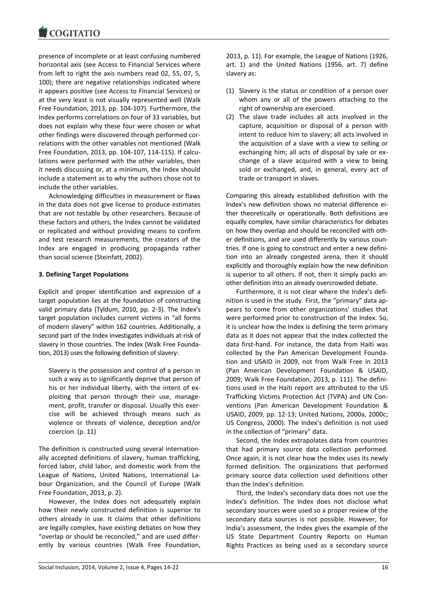presence of incomplete or at least confusing numbered horizontal axis (see Access to Financial Services where from left to right the axis numbers read 02, 55, 07, 5, 100); there are negative relationships indicated where it appears positive (see Access to Financial Services) or at the very least is not visually represented well (Walk Free Foundation, 2013, pp. 104-107). Furthermore, the Index performs correlations on four of 33 variables, but does not explain why these four were chosen or what other findings were discovered through performed correlations with the other variables not mentioned (Walk Free Foundation, 2013, pp. 104-107, 114-115). If calculations were performed with the other variables, then it needs discussing or, at a minimum, the Index should include a statement as to why the authors chose not to include the other variables.

Acknowledging difficulties in measurement or flaws in the data does not give license to produce estimates that are not testable by other researchers. Because of these factors and others, the Index cannot be validated or replicated and without providing means to confirm and test research measurements, the creators of the Index are engaged in producing propaganda rather than social science (Steinfatt, 2002).

# **3. Defining Target Populations**

Explicit and proper identification and expression of a target population lies at the foundation of constructing valid primary data (Tyldum, 2010, pp. 2-3). The Index's target population includes current victims in "all forms of modern slavery" within 162 countries. Additionally, a second part of the Index investigates individuals at-risk of slavery in those countries. The Index (Walk Free Foundation, 2013) uses the following definition of slavery:

Slavery is the possession and control of a person in such a way as to significantly deprive that person of his or her individual liberty, with the intent of exploiting that person through their use, management, profit, transfer or disposal. Usually this exercise will be achieved through means such as violence or threats of violence, deception and/or coercion. (p. 11)

The definition is constructed using several internationally accepted definitions of slavery, human trafficking, forced labor, child labor, and domestic work from the League of Nations, United Nations, International Labour Organization, and the Council of Europe (Walk Free Foundation, 2013, p. 2).

However, the Index does not adequately explain how their newly constructed definition is superior to others already in use. It claims that other definitions are legally complex, have existing debates on how they "overlap or should be reconciled," and are used differently by various countries (Walk Free Foundation,

2013, p. 11). For example, the League of Nations (1926, art. 1) and the United Nations (1956, art. 7) define slavery as:

- (1) Slavery is the status or condition of a person over whom any or all of the powers attaching to the right of ownership are exercised.
- (2) The slave trade includes all acts involved in the capture, acquisition or disposal of a person with intent to reduce him to slavery; all acts involved in the acquisition of a slave with a view to selling or exchanging him; all acts of disposal by sale or exchange of a slave acquired with a view to being sold or exchanged, and, in general, every act of trade or transport in slaves.

Comparing this already established definition with the Index's new definition shows no material difference either theoretically or operationally. Both definitions are equally complex, have similar characteristics for debates on how they overlap and should be reconciled with other definitions, and are used differently by various countries. If one is going to construct and enter a new definition into an already congested arena, then it should explicitly and thoroughly explain how the new definition is superior to all others. If not, then it simply packs another definition into an already overcrowded debate.

Furthermore, it is not clear where the Index's definition is used in the study. First, the "primary" data appears to come from other organizations' studies that were performed prior to construction of the Index. So, it is unclear how the Index is defining the term primary data as it does not appear that the Index collected the data first-hand. For instance, the data from Haiti was collected by the Pan American Development Foundation and USAID in 2009, not from Walk Free in 2013 (Pan American Development Foundation & USAID, 2009; Walk Free Foundation, 2013, p. 111). The definitions used in the Haiti report are attributed to the US Trafficking Victims Protection Act (TVPA) and UN Conventions (Pan American Development Foundation & USAID, 2009, pp. 12-13; United Nations, 2000a, 2000c; US Congress, 2000). The Index's definition is not used in the collection of "primary" data.

Second, the Index extrapolates data from countries that had primary source data collection performed. Once again, it is not clear how the Index uses its newly formed definition. The organizations that performed primary source data collection used definitions other than the Index's definition.

Third, the Index's secondary data does not use the Index's definition. The Index does not disclose what secondary sources were used so a proper review of the secondary data sources is not possible. However, for India's assessment, the Index gives the example of the US State Department Country Reports on Human Rights Practices as being used as a secondary source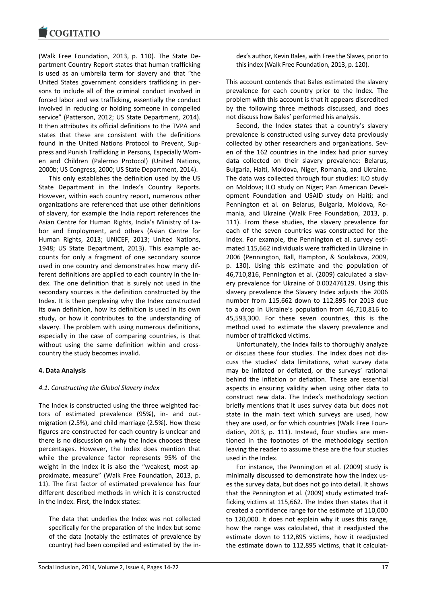(Walk Free Foundation, 2013, p. 110). The State Department Country Report states that human trafficking is used as an umbrella term for slavery and that "the United States government considers trafficking in persons to include all of the criminal conduct involved in forced labor and sex trafficking, essentially the conduct involved in reducing or holding someone in compelled service" (Patterson, 2012; US State Department, 2014). It then attributes its official definitions to the TVPA and states that these are consistent with the definitions found in the United Nations Protocol to Prevent, Suppress and Punish Trafficking in Persons, Especially Women and Children (Palermo Protocol) (United Nations, 2000b; US Congress, 2000; US State Department, 2014).

This only establishes the definition used by the US State Department in the Index's Country Reports. However, within each country report, numerous other organizations are referenced that use other definitions of slavery, for example the India report references the Asian Centre for Human Rights, India's Ministry of Labor and Employment, and others (Asian Centre for Human Rights, 2013; UNICEF, 2013; United Nations, 1948; US State Department, 2013). This example accounts for only a fragment of one secondary source used in one country and demonstrates how many different definitions are applied to each country in the Index. The one definition that is surely not used in the secondary sources is the definition constructed by the Index. It is then perplexing why the Index constructed its own definition, how its definition is used in its own study, or how it contributes to the understanding of slavery. The problem with using numerous definitions, especially in the case of comparing countries, is that without using the same definition within and crosscountry the study becomes invalid.

# **4. Data Analysis**

# *4.1. Constructing the Global Slavery Index*

The Index is constructed using the three weighted factors of estimated prevalence (95%), in- and outmigration (2.5%), and child marriage (2.5%). How these figures are constructed for each country is unclear and there is no discussion on why the Index chooses these percentages. However, the Index does mention that while the prevalence factor represents 95% of the weight in the Index it is also the "weakest, most approximate, measure" (Walk Free Foundation, 2013, p. 11). The first factor of estimated prevalence has four different described methods in which it is constructed in the Index. First, the Index states:

The data that underlies the Index was not collected specifically for the preparation of the Index but some of the data (notably the estimates of prevalence by country) had been compiled and estimated by the index's author, Kevin Bales, with Free the Slaves, prior to this index (Walk Free Foundation, 2013, p. 120).

This account contends that Bales estimated the slavery prevalence for each country prior to the Index. The problem with this account is that it appears discredited by the following three methods discussed, and does not discuss how Bales' performed his analysis.

Second, the Index states that a country's slavery prevalence is constructed using survey data previously collected by other researchers and organizations. Seven of the 162 countries in the Index had prior survey data collected on their slavery prevalence: Belarus, Bulgaria, Haiti, Moldova, Niger, Romania, and Ukraine. The data was collected through four studies: ILO study on Moldova; ILO study on Niger; Pan American Development Foundation and USAID study on Haiti; and Pennington et al. on Belarus, Bulgaria, Moldova, Romania, and Ukraine (Walk Free Foundation, 2013, p. 111). From these studies, the slavery prevalence for each of the seven countries was constructed for the Index. For example, the Pennington et al. survey estimated 115,662 individuals were trafficked in Ukraine in 2006 (Pennington, Ball, Hampton, & Soulakova, 2009, p. 130). Using this estimate and the population of 46,710,816, Pennington et al. (2009) calculated a slavery prevalence for Ukraine of 0.002476129. Using this slavery prevalence the Slavery Index adjusts the 2006 number from 115,662 down to 112,895 for 2013 due to a drop in Ukraine's population from 46,710,816 to 45,593,300. For these seven countries, this is the method used to estimate the slavery prevalence and number of trafficked victims.

Unfortunately, the Index fails to thoroughly analyze or discuss these four studies. The Index does not discuss the studies' data limitations, what survey data may be inflated or deflated, or the surveys' rational behind the inflation or deflation. These are essential aspects in ensuring validity when using other data to construct new data. The Index's methodology section briefly mentions that it uses survey data but does not state in the main text which surveys are used, how they are used, or for which countries (Walk Free Foundation, 2013, p. 111). Instead, four studies are mentioned in the footnotes of the methodology section leaving the reader to assume these are the four studies used in the Index.

For instance, the Pennington et al. (2009) study is minimally discussed to demonstrate how the Index uses the survey data, but does not go into detail. It shows that the Pennington et al. (2009) study estimated trafficking victims at 115,662. The Index then states that it created a confidence range for the estimate of 110,000 to 120,000. It does not explain why it uses this range, how the range was calculated, that it readjusted the estimate down to 112,895 victims, how it readjusted the estimate down to 112,895 victims, that it calculat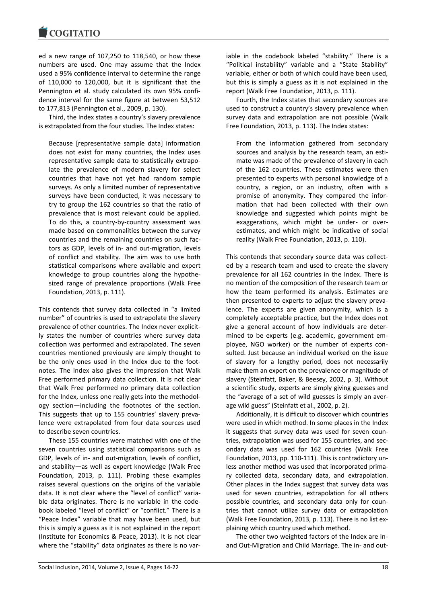ed a new range of 107,250 to 118,540, or how these numbers are used. One may assume that the Index used a 95% confidence interval to determine the range of 110,000 to 120,000, but it is significant that the Pennington et al. study calculated its own 95% confidence interval for the same figure at between 53,512 to 177,813 (Pennington et al., 2009, p. 130).

Third, the Index states a country's slavery prevalence is extrapolated from the four studies. The Index states:

Because [representative sample data] information does not exist for many countries, the Index uses representative sample data to statistically extrapolate the prevalence of modern slavery for select countries that have not yet had random sample surveys. As only a limited number of representative surveys have been conducted, it was necessary to try to group the 162 countries so that the ratio of prevalence that is most relevant could be applied. To do this, a country-by-country assessment was made based on commonalities between the survey countries and the remaining countries on such factors as GDP, levels of in- and out-migration, levels of conflict and stability. The aim was to use both statistical comparisons where available and expert knowledge to group countries along the hypothesized range of prevalence proportions (Walk Free Foundation, 2013, p. 111).

This contends that survey data collected in "a limited number" of countries is used to extrapolate the slavery prevalence of other countries. The Index never explicitly states the number of countries where survey data collection was performed and extrapolated. The seven countries mentioned previously are simply thought to be the only ones used in the Index due to the footnotes. The Index also gives the impression that Walk Free performed primary data collection. It is not clear that Walk Free performed *no* primary data collection for the Index, unless one really gets into the methodology section—including the footnotes of the section. This suggests that up to 155 countries' slavery prevalence were extrapolated from four data sources used to describe seven countries.

These 155 countries were matched with one of the seven countries using statistical comparisons such as GDP, levels of in- and out-migration, levels of conflict, and stability—as well as expert knowledge (Walk Free Foundation, 2013, p. 111). Probing these examples raises several questions on the origins of the variable data. It is not clear where the "level of conflict" variable data originates. There is no variable in the codebook labeled "level of conflict" or "conflict." There is a "Peace Index" variable that may have been used, but this is simply a guess as it is not explained in the report (Institute for Economics & Peace, 2013). It is not clear where the "stability" data originates as there is no variable in the codebook labeled "stability." There is a "Political instability" variable and a "State Stability" variable, either or both of which could have been used, but this is simply a guess as it is not explained in the report (Walk Free Foundation, 2013, p. 111).

Fourth, the Index states that secondary sources are used to construct a country's slavery prevalence when survey data and extrapolation are not possible (Walk Free Foundation, 2013, p. 113). The Index states:

From the information gathered from secondary sources and analysis by the research team, an estimate was made of the prevalence of slavery in each of the 162 countries. These estimates were then presented to experts with personal knowledge of a country, a region, or an industry, often with a promise of anonymity. They compared the information that had been collected with their own knowledge and suggested which points might be exaggerations, which might be under- or overestimates, and which might be indicative of social reality (Walk Free Foundation, 2013, p. 110).

This contends that secondary source data was collected by a research team and used to create the slavery prevalence for all 162 countries in the Index. There is no mention of the composition of the research team or how the team performed its analysis. Estimates are then presented to experts to adjust the slavery prevalence. The experts are given anonymity, which is a completely acceptable practice, but the Index does not give a general account of how individuals are determined to be experts (e.g. academic, government employee, NGO worker) or the number of experts consulted. Just because an individual worked on the issue of slavery for a lengthy period, does not necessarily make them an expert on the prevalence or magnitude of slavery (Steinfatt, Baker, & Beesey, 2002, p. 3). Without a scientific study, experts are simply giving guesses and the "average of a set of wild guesses is simply an average wild guess" (Steinfatt et al., 2002, p. 2).

Additionally, it is difficult to discover which countries were used in which method. In some places in the Index it suggests that survey data was used for seven countries, extrapolation was used for 155 countries, and secondary data was used for 162 countries (Walk Free Foundation, 2013, pp. 110-111). This is contradictory unless another method was used that incorporated primary collected data, secondary data, and extrapolation. Other places in the Index suggest that survey data was used for seven countries, extrapolation for all others possible countries, and secondary data only for countries that cannot utilize survey data or extrapolation (Walk Free Foundation, 2013, p. 113). There is no list explaining which country used which method.

The other two weighted factors of the Index are Inand Out-Migration and Child Marriage. The in- and out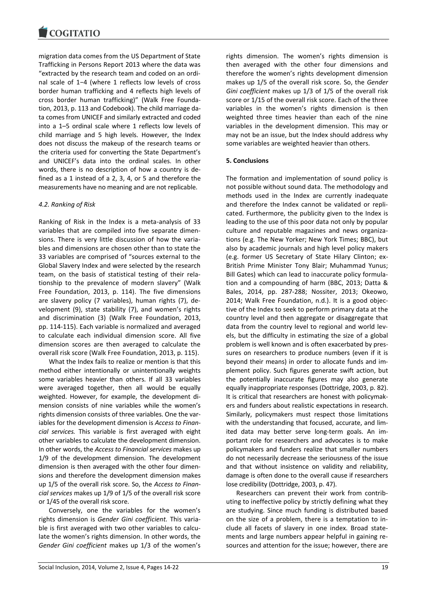migration data comes from the US Department of State Trafficking in Persons Report 2013 where the data was "extracted by the research team and coded on an ordinal scale of 1−4 (where 1 reflects low levels of cross border human trafficking and 4 reflects high levels of cross border human trafficking)" (Walk Free Foundation, 2013, p. 113 and Codebook). The child marriage data comes from UNICEF and similarly extracted and coded into a 1–5 ordinal scale where 1 reflects low levels of child marriage and 5 high levels. However, the Index does not discuss the makeup of the research teams or the criteria used for converting the State Department's and UNICEF's data into the ordinal scales. In other words, there is no description of how a country is defined as a 1 instead of a 2, 3, 4, or 5 and therefore the measurements have no meaning and are not replicable.

# *4.2. Ranking of Risk*

Ranking of Risk in the Index is a meta-analysis of 33 variables that are compiled into five separate dimensions. There is very little discussion of how the variables and dimensions are chosen other than to state the 33 variables are comprised of "sources external to the Global Slavery Index and were selected by the research team, on the basis of statistical testing of their relationship to the prevalence of modern slavery" (Walk Free Foundation, 2013, p. 114). The five dimensions are slavery policy (7 variables), human rights (7), development (9), state stability (7), and women's rights and discrimination (3) (Walk Free Foundation, 2013, pp. 114-115). Each variable is normalized and averaged to calculate each individual dimension score. All five dimension scores are then averaged to calculate the overall risk score (Walk Free Foundation, 2013, p. 115).

What the Index fails to realize or mention is that this method either intentionally or unintentionally weights some variables heavier than others. If all 33 variables were averaged together, then all would be equally weighted. However, for example, the development dimension consists of nine variables while the women's rights dimension consists of three variables. One the variables for the development dimension is *Access to Financial services.* This variable is first averaged with eight other variables to calculate the development dimension. In other words, the *Access to Financial services* makes up 1/9 of the development dimension. The development dimension is then averaged with the other four dimensions and therefore the development dimension makes up 1/5 of the overall risk score. So, the *Access to Financial services* makes up 1/9 of 1/5 of the overall risk score or 1/45 of the overall risk score.

Conversely, one the variables for the women's rights dimension is *Gender Gini coefficient.* This variable is first averaged with two other variables to calculate the women's rights dimension. In other words, the *Gender Gini coefficient* makes up 1/3 of the women's

rights dimension. The women's rights dimension is then averaged with the other four dimensions and therefore the women's rights development dimension makes up 1/5 of the overall risk score. So, the *Gender Gini coefficient* makes up 1/3 of 1/5 of the overall risk score or 1/15 of the overall risk score. Each of the three variables in the women's rights dimension is then weighted three times heavier than each of the nine variables in the development dimension. This may or may not be an issue, but the Index should address why some variables are weighted heavier than others.

# **5. Conclusions**

The formation and implementation of sound policy is not possible without sound data. The methodology and methods used in the Index are currently inadequate and therefore the Index cannot be validated or replicated. Furthermore, the publicity given to the Index is leading to the use of this poor data not only by popular culture and reputable magazines and news organizations (e.g. The New Yorker; New York Times; BBC), but also by academic journals and high level policy makers (e.g. former US Secretary of State Hilary Clinton; ex-British Prime Minister Tony Blair; Muhammad Yunus; Bill Gates) which can lead to inaccurate policy formulation and a compounding of harm (BBC, 2013; Datta & Bales, 2014, pp. 287-288; Nossiter, 2013; Okeowo, 2014; Walk Free Foundation, n.d.). It is a good objective of the Index to seek to perform primary data at the country level and then aggregate or disaggregate that data from the country level to regional and world levels, but the difficulty in estimating the size of a global problem is well known and is often exacerbated by pressures on researchers to produce numbers (even if it is beyond their means) in order to allocate funds and implement policy. Such figures generate swift action, but the potentially inaccurate figures may also generate equally inappropriate responses (Dottridge, 2003, p. 82). It is critical that researchers are honest with policymakers and funders about realistic expectations in research. Similarly, policymakers must respect those limitations with the understanding that focused, accurate, and limited data may better serve long-term goals. An important role for researchers and advocates is to make policymakers and funders realize that smaller numbers do not necessarily decrease the seriousness of the issue and that without insistence on validity and reliability, damage is often done to the overall cause if researchers lose credibility (Dottridge, 2003, p. 47).

Researchers can prevent their work from contributing to ineffective policy by strictly defining what they are studying. Since much funding is distributed based on the size of a problem, there is a temptation to include all facets of slavery in one index. Broad statements and large numbers appear helpful in gaining resources and attention for the issue; however, there are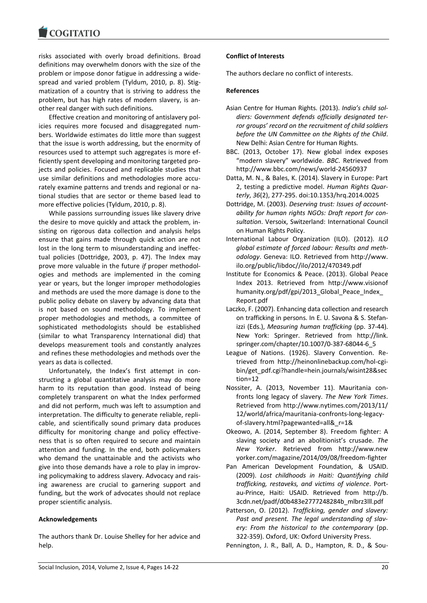risks associated with overly broad definitions. Broad definitions may overwhelm donors with the size of the problem or impose donor fatigue in addressing a widespread and varied problem (Tyldum, 2010, p. 8). Stigmatization of a country that is striving to address the problem, but has high rates of modern slavery, is another real danger with such definitions.

Effective creation and monitoring of antislavery policies requires more focused and disaggregated numbers. Worldwide estimates do little more than suggest that the issue is worth addressing, but the enormity of resources used to attempt such aggregates is more efficiently spent developing and monitoring targeted projects and policies. Focused and replicable studies that use similar definitions and methodologies more accurately examine patterns and trends and regional or national studies that are sector or theme based lead to more effective policies (Tyldum, 2010, p. 8).

While passions surrounding issues like slavery drive the desire to move quickly and attack the problem, insisting on rigorous data collection and analysis helps ensure that gains made through quick action are not lost in the long term to misunderstanding and ineffectual policies (Dottridge, 2003, p. 47). The Index may prove more valuable in the future *if* proper methodologies and methods are implemented in the coming year or years, but the longer improper methodologies and methods are used the more damage is done to the public policy debate on slavery by advancing data that is not based on sound methodology. To implement proper methodologies and methods, a committee of sophisticated methodologists should be established (similar to what Transparency International did) that develops measurement tools and constantly analyzes and refines these methodologies and methods over the years as data is collected.

Unfortunately, the Index's first attempt in constructing a global quantitative analysis may do more harm to its reputation than good. Instead of being completely transparent on what the Index performed and did not perform, much was left to assumption and interpretation. The difficulty to generate reliable, replicable, and scientifically sound primary data produces difficulty for monitoring change and policy effectiveness that is so often required to secure and maintain attention and funding. In the end, both policymakers who demand the unattainable and the activists who give into those demands have a role to play in improving policymaking to address slavery. Advocacy and raising awareness are crucial to garnering support and funding, but the work of advocates should not replace proper scientific analysis.

# **Acknowledgements**

The authors thank Dr. Louise Shelley for her advice and help.

# **Conflict of Interests**

The authors declare no conflict of interests.

# **References**

- Asian Centre for Human Rights. (2013). *India's child soldiers: Government defends officially designated terror groups' record on the recruitment of child soldiers before the UN Committee on the Rights of the Child*. New Delhi: Asian Centre for Human Rights.
- BBC. (2013, October 17). New global index exposes "modern slavery" worldwide. *BBC*. Retrieved from http://www.bbc.com/news/world-24560937
- Datta, M. N., & Bales, K. (2014). Slavery in Europe: Part 2, testing a predictive model. *Human Rights Quarterly*, *36*(2), 277-295. doi:10.1353/hrq.2014.0025
- Dottridge, M. (2003). *Deserving trust: Issues of accountability for human rights NGOs: Draft report for consultation*. Versoix, Switzerland: International Council on Human Rights Policy.
- International Labour Organization (ILO). (2012). *ILO global estimate of forced labour: Results and methodology*. Geneva: ILO. Retrieved from http://www. ilo.org/public/libdoc//ilo/2012/470349.pdf
- Institute for Economics & Peace. (2013). Global Peace Index 2013. Retrieved from http://www.visionof humanity.org/pdf/gpi/2013 Global Peace Index Report.pdf
- Laczko, F. (2007). Enhancing data collection and research on trafficking in persons. In E. U. Savona & S. Stefanizzi (Eds.), *Measuring human trafficking* (pp. 37-44). New York: Springer. Retrieved from http://link. springer.com/chapter/10.1007/0-387-68044-6\_5
- League of Nations. (1926). Slavery Convention. Retrieved from http://heinonlinebackup.com/hol-cgibin/get\_pdf.cgi?handle=hein.journals/wisint28&sec tion=12
- Nossiter, A. (2013, November 11). Mauritania confronts long legacy of slavery. *The New York Times*. Retrieved from http://www.nytimes.com/2013/11/ 12/world/africa/mauritania-confronts-long-legacyof-slavery.html?pagewanted=all&\_r=1&
- Okeowo, A. (2014, September 8). Freedom fighter: A slaving society and an abolitionist's crusade. *The New Yorker*. Retrieved from http://www.new yorker.com/magazine/2014/09/08/freedom-fighter
- Pan American Development Foundation, & USAID. (2009). *Lost childhoods in Haiti: Quantifying child trafficking, restaveks, and victims of violence*. Portau-Prince, Haiti: USAID. Retrieved from http://b. 3cdn.net/padf/d0b483e2777248284b\_mlbrz3lll.pdf
- Patterson, O. (2012). *Trafficking, gender and slavery: Past and present. The legal understanding of slavery: From the historical to the contemporary* (pp. 322-359). Oxford, UK: Oxford University Press.

Pennington, J. R., Ball, A. D., Hampton, R. D., & Sou-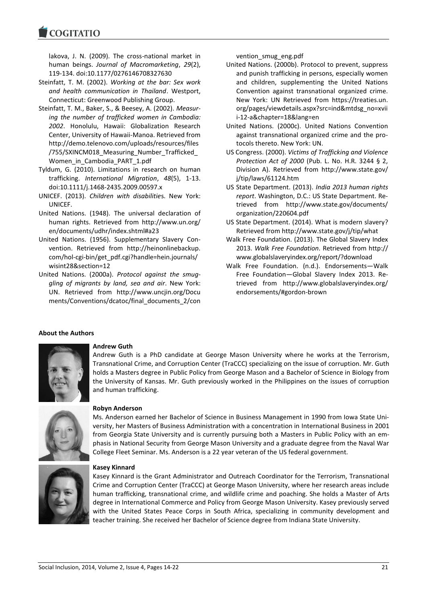**COGITATIO** 

lakova, J. N. (2009). The cross-national market in human beings. *Journal of Macromarketing*, *29*(2), 119-134. doi:10.1177/0276146708327630

- Steinfatt, T. M. (2002). *Working at the bar: Sex work and health communication in Thailand*. Westport, Connecticut: Greenwood Publishing Group.
- Steinfatt, T. M., Baker, S., & Beesey, A. (2002). *Measuring the number of trafficked women in Cambodia: 2002*. Honolulu, Hawaii: Globalization Research Center, University of Hawaii-Manoa. Retrieved from http://demo.telenovo.com/uploads/resources/files /755/SXINCM018\_Measuring\_Number\_Trafficked\_ Women\_in\_Cambodia\_PART\_1.pdf
- Tyldum, G. (2010). Limitations in research on human trafficking. *International Migration*, *48*(5), 1-13. doi:10.1111/j.1468-2435.2009.00597.x
- UNICEF. (2013). *Children with disabilitie*s. New York: UNICEF.
- United Nations. (1948). The universal declaration of human rights. Retrieved from http://www.un.org/ en/documents/udhr/index.shtml#a23
- United Nations. (1956). Supplementary Slavery Convention. Retrieved from http://heinonlinebackup. com/hol-cgi-bin/get\_pdf.cgi?handle=hein.journals/ wisint28&section=12
- United Nations. (2000a). *Protocol against the smuggling of migrants by land, sea and air*. New York: UN. Retrieved from http://www.uncjin.org/Docu ments/Conventions/dcatoc/final\_documents\_2/con

vention\_smug\_eng.pdf

- United Nations. (2000b). Protocol to prevent, suppress and punish trafficking in persons, especially women and children, supplementing the United Nations Convention against transnational organized crime. New York: UN Retrieved from https://treaties.un. org/pages/viewdetails.aspx?src=ind&mtdsg\_no=xvii i-12-a&chapter=18&lang=en
- United Nations. (2000c). United Nations Convention against transnational organized crime and the protocols thereto. New York: UN.
- US Congress. (2000). *Victims of Trafficking and Violence Protection Act of 2000* (Pub. L. No. H.R. 3244 § 2, Division A). Retrieved from http://www.state.gov/ j/tip/laws/61124.htm
- US State Department. (2013). *India 2013 human rights report*. Washington, D.C.: US State Department. Retrieved from http://www.state.gov/documents/ organization/220604.pdf
- US State Department. (2014). What is modern slavery? Retrieved from http://www.state.gov/j/tip/what
- Walk Free Foundation. (2013). The Global Slavery Index 2013. *Walk Free Foundation*. Retrieved from http:// www.globalslaveryindex.org/report/?download
- Walk Free Foundation. (n.d.). Endorsements—Walk Free Foundation—Global Slavery Index 2013. Retrieved from http://www.globalslaveryindex.org/ endorsements/#gordon-brown

#### **About the Authors**



# **Andrew Guth**

Andrew Guth is a PhD candidate at George Mason University where he works at the Terrorism, Transnational Crime, and Corruption Center (TraCCC) specializing on the issue of corruption. Mr. Guth holds a Masters degree in Public Policy from George Mason and a Bachelor of Science in Biology from the University of Kansas. Mr. Guth previously worked in the Philippines on the issues of corruption and human trafficking.



#### **Robyn Anderson**

Ms. Anderson earned her Bachelor of Science in Business Management in 1990 from Iowa State University, her Masters of Business Administration with a concentration in International Business in 2001 from Georgia State University and is currently pursuing both a Masters in Public Policy with an emphasis in National Security from George Mason University and a graduate degree from the Naval War College Fleet Seminar. Ms. Anderson is a 22 year veteran of the US federal government.



#### **Kasey Kinnard**

Kasey Kinnard is the Grant Administrator and Outreach Coordinator for the Terrorism, Transnational Crime and Corruption Center (TraCCC) at George Mason University, where her research areas include human trafficking, transnational crime, and wildlife crime and poaching. She holds a Master of Arts degree in International Commerce and Policy from George Mason University. Kasey previously served with the United States Peace Corps in South Africa, specializing in community development and teacher training. She received her Bachelor of Science degree from Indiana State University.